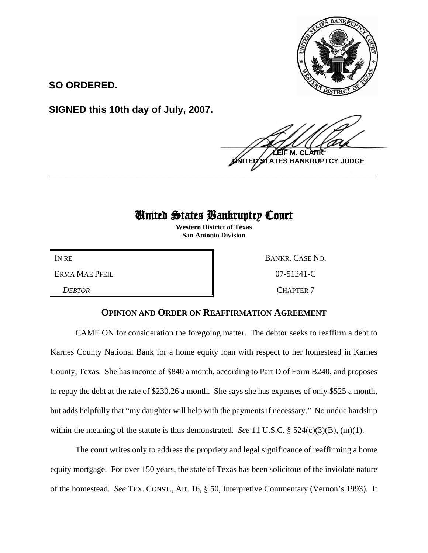

**SO ORDERED.**

**SIGNED this 10th day of July, 2007.**

 $\frac{1}{2}$ **LEIF M. CLARK BANKRUPTCY JUDGE \_\_\_\_\_\_\_\_\_\_\_\_\_\_\_\_\_\_\_\_\_\_\_\_\_\_\_\_\_\_\_\_\_\_\_\_\_\_\_\_\_\_\_\_\_\_\_\_\_\_\_\_\_\_\_\_\_\_\_\_**

## United States Bankruptcy Court

**Western District of Texas San Antonio Division**

ERMA MAE PFEIL **DEALL CONSUMING THE UP ASSESSED ASSAULT** 07-51241-C

IN RE BANKR. CASE NO. **DEBTOR** CHAPTER 7

## **OPINION AND ORDER ON REAFFIRMATION AGREEMENT**

CAME ON for consideration the foregoing matter. The debtor seeks to reaffirm a debt to Karnes County National Bank for a home equity loan with respect to her homestead in Karnes County, Texas. She has income of \$840 a month, according to Part D of Form B240, and proposes to repay the debt at the rate of \$230.26 a month. She says she has expenses of only \$525 a month, but adds helpfully that "my daughter will help with the payments if necessary." No undue hardship within the meaning of the statute is thus demonstrated. *See* 11 U.S.C. § 524(c)(3)(B), (m)(1).

The court writes only to address the propriety and legal significance of reaffirming a home equity mortgage. For over 150 years, the state of Texas has been solicitous of the inviolate nature of the homestead. *See* TEX. CONST., Art. 16, § 50, Interpretive Commentary (Vernon's 1993). It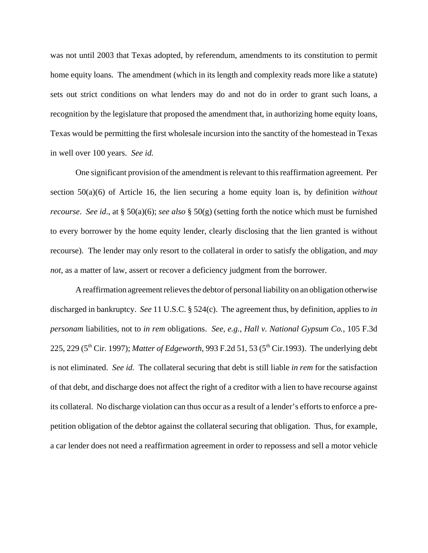was not until 2003 that Texas adopted, by referendum, amendments to its constitution to permit home equity loans. The amendment (which in its length and complexity reads more like a statute) sets out strict conditions on what lenders may do and not do in order to grant such loans, a recognition by the legislature that proposed the amendment that, in authorizing home equity loans, Texas would be permitting the first wholesale incursion into the sanctity of the homestead in Texas in well over 100 years. *See id.*

One significant provision of the amendment is relevant to this reaffirmation agreement. Per section 50(a)(6) of Article 16, the lien securing a home equity loan is, by definition *without recourse*. *See id*., at § 50(a)(6); *see also* § 50(g) (setting forth the notice which must be furnished to every borrower by the home equity lender, clearly disclosing that the lien granted is without recourse). The lender may only resort to the collateral in order to satisfy the obligation, and *may not*, as a matter of law, assert or recover a deficiency judgment from the borrower.

A reaffirmation agreement relieves the debtor of personal liability on an obligation otherwise discharged in bankruptcy. *See* 11 U.S.C. § 524(c). The agreement thus, by definition, applies to *in personam* liabilities, not to *in rem* obligations. *See, e.g.*, *Hall v. National Gypsum Co.*, 105 F.3d 225, 229 (5<sup>th</sup> Cir. 1997); *Matter of Edgeworth*, 993 F.2d 51, 53 (5<sup>th</sup> Cir.1993). The underlying debt is not eliminated. *See id.* The collateral securing that debt is still liable *in rem* for the satisfaction of that debt, and discharge does not affect the right of a creditor with a lien to have recourse against its collateral. No discharge violation can thus occur as a result of a lender's efforts to enforce a prepetition obligation of the debtor against the collateral securing that obligation. Thus, for example, a car lender does not need a reaffirmation agreement in order to repossess and sell a motor vehicle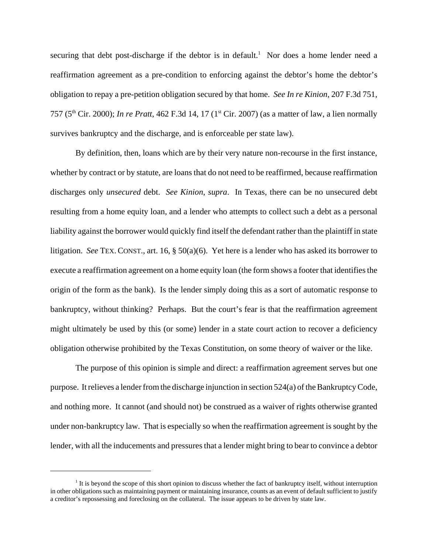securing that debt post-discharge if the debtor is in default.<sup>1</sup> Nor does a home lender need a reaffirmation agreement as a pre-condition to enforcing against the debtor's home the debtor's obligation to repay a pre-petition obligation secured by that home. *See In re Kinion*, 207 F.3d 751, 757 (5th Cir. 2000); *In re Pratt*, 462 F.3d 14, 17 (1st Cir. 2007) (as a matter of law, a lien normally survives bankruptcy and the discharge, and is enforceable per state law).

By definition, then, loans which are by their very nature non-recourse in the first instance, whether by contract or by statute, are loans that do not need to be reaffirmed, because reaffirmation discharges only *unsecured* debt. *See Kinion*, *supra*. In Texas, there can be no unsecured debt resulting from a home equity loan, and a lender who attempts to collect such a debt as a personal liability against the borrower would quickly find itself the defendant rather than the plaintiff in state litigation. *See* TEX. CONST., art. 16, § 50(a)(6). Yet here is a lender who has asked its borrower to execute a reaffirmation agreement on a home equity loan (the form shows a footer that identifies the origin of the form as the bank). Is the lender simply doing this as a sort of automatic response to bankruptcy, without thinking? Perhaps. But the court's fear is that the reaffirmation agreement might ultimately be used by this (or some) lender in a state court action to recover a deficiency obligation otherwise prohibited by the Texas Constitution, on some theory of waiver or the like.

The purpose of this opinion is simple and direct: a reaffirmation agreement serves but one purpose. It relieves a lender from the discharge injunction in section 524(a) of the Bankruptcy Code, and nothing more. It cannot (and should not) be construed as a waiver of rights otherwise granted under non-bankruptcy law. That is especially so when the reaffirmation agreement is sought by the lender, with all the inducements and pressures that a lender might bring to bear to convince a debtor

<sup>&</sup>lt;sup>1</sup> It is beyond the scope of this short opinion to discuss whether the fact of bankruptcy itself, without interruption in other obligations such as maintaining payment or maintaining insurance, counts as an event of default sufficient to justify a creditor's repossessing and foreclosing on the collateral. The issue appears to be driven by state law.